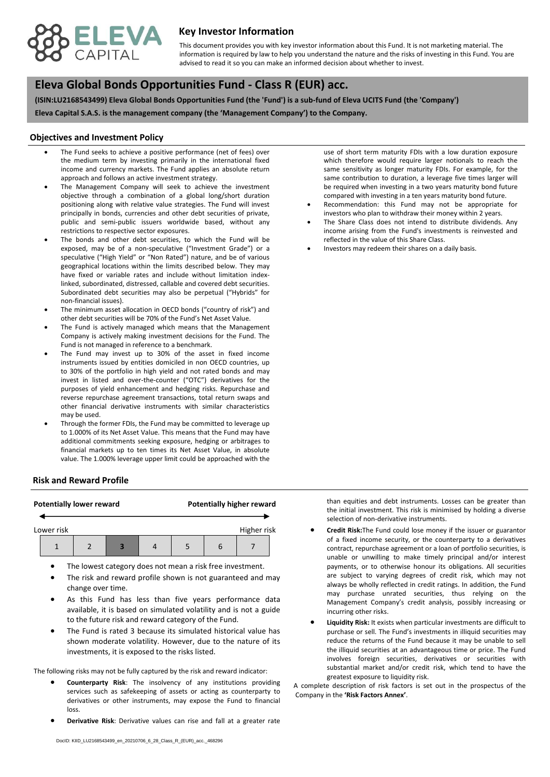

## **Key Investor Information**

advised to read it so you can make an informed decision about whether to invest. This document provides you with key investor information about this Fund. It is not marketing material. The information is required by law to help you understand the nature and the risks of investing in this Fund. You are

# **, Eleva Global Bonds Opportunities Fund - Class R (EUR) acc.**

**(ISIN:LU2168543499) Eleva Global Bonds Opportunities Fund (the 'Fund') is a sub-fund of Eleva UCITS Fund (the 'Company')**

**Eleva Capital S.A.S. is the management company (the 'Management Company') to the Company.**

#### **Objectives and Investment Policy**

- approach and follows an active investment strategy. The Fund seeks to achieve a positive performance (net of fees) over the medium term by investing primarily in the international fixed income and currency markets. The Fund applies an absolute return
- The Management Company will seek to achieve the investment objective through a combination of a global long/short duration positioning along with relative value strategies. The Fund will invest principally in bonds, currencies and other debt securities of private, public and semi-public issuers worldwide based, without any restrictions to respective sector exposures.
- The bonds and other debt securities, to which the Fund will be exposed, may be of a non-speculative ("Investment Grade") or a speculative ("High Yield" or "Non Rated") nature, and be of various geographical locations within the limits described below. They may have fixed or variable rates and include without limitation indexlinked, subordinated, distressed, callable and covered debt securities. Subordinated debt securities may also be perpetual ("Hybrids" for non-financial issues).
- The minimum asset allocation in OECD bonds ("country of risk") and other debt securities will be 70% of the Fund's Net Asset Value.
- The Fund is actively managed which means that the Management Company is actively making investment decisions for the Fund. The Fund is not managed in reference to a benchmark.
- The Fund may invest up to 30% of the asset in fixed income instruments issued by entities domiciled in non OECD countries, up to 30% of the portfolio in high yield and not rated bonds and may invest in listed and over-the-counter ("OTC") derivatives for the purposes of yield enhancement and hedging risks. Repurchase and reverse repurchase agreement transactions, total return swaps and other financial derivative instruments with similar characteristics may be used.
- Through the former FDIs, the Fund may be committed to leverage up to 1.000% of its Net Asset Value. This means that the Fund may have additional commitments seeking exposure, hedging or arbitrages to financial markets up to ten times its Net Asset Value, in absolute value. The 1.000% leverage upper limit could be approached with the

#### **Risk and Reward Profile**

# **Potentially lower reward Potentially higher reward** Lower risk and the contract of the contract of the Higher risk 1 | 2 | 3 | 4 | 5 | 6 | 7

- The lowest category does not mean a risk free investment.
- The risk and reward profile shown is not guaranteed and may change over time.
- As this Fund has less than five years performance data available, it is based on simulated volatility and is not a guide to the future risk and reward category of the Fund.
- The Fund is rated 3 because its simulated historical value has shown moderate volatility. However, due to the nature of its investments, it is exposed to the risks listed.

The following risks may not be fully captured by the risk and reward indicator:

- **Counterparty Risk**: The insolvency of any institutions providing services such as safekeeping of assets or acting as counterparty to derivatives or other instruments, may expose the Fund to financial loss.
- **Derivative Risk**: Derivative values can rise and fall at a greater rate

use of short term maturity FDIs with a low duration exposure which therefore would require larger notionals to reach the same sensitivity as longer maturity FDIs. For example, for the same contribution to duration, a leverage five times larger will be required when investing in a two years maturity bond future compared with investing in a ten years maturity bond future.

- Recommendation: this Fund may not be appropriate for investors who plan to withdraw their money within 2 years.
- The Share Class does not intend to distribute dividends. Any income arising from the Fund's investments is reinvested and reflected in the value of this Share Class.
- Investors may redeem their shares on a daily basis.

than equities and debt instruments. Losses can be greater than the initial investment. This risk is minimised by holding a diverse selection of non-derivative instruments.

- **Credit Risk:**The Fund could lose money if the issuer or guarantor of a fixed income security, or the counterparty to a derivatives contract, repurchase agreement or a loan of portfolio securities, is unable or unwilling to make timely principal and/or interest payments, or to otherwise honour its obligations. All securities are subject to varying degrees of credit risk, which may not always be wholly reflected in credit ratings. In addition, the Fund may purchase unrated securities, thus relying on the Management Company's credit analysis, possibly increasing or incurring other risks.
- **Liquidity Risk:** It exists when particular investments are difficult to purchase or sell. The Fund's investments in illiquid securities may reduce the returns of the Fund because it may be unable to sell the illiquid securities at an advantageous time or price. The Fund involves foreign securities, derivatives or securities with substantial market and/or credit risk, which tend to have the greatest exposure to liquidity risk.

A complete description of risk factors is set out in the prospectus of the Company in the **'Risk Factors Annex'**.